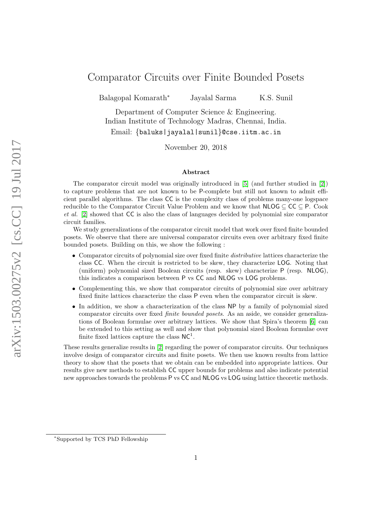# Comparator Circuits over Finite Bounded Posets

Balagopal Komarath<sup>∗</sup> Jayalal Sarma K.S. Sunil

Department of Computer Science & Engineering. Indian Institute of Technology Madras, Chennai, India. Email: {baluks|jayalal|sunil}@cse.iitm.ac.in

November 20, 2018

#### Abstract

The comparator circuit model was originally introduced in [\[5\]](#page-19-0) (and further studied in [\[2\]](#page-19-1)) to capture problems that are not known to be P-complete but still not known to admit efficient parallel algorithms. The class CC is the complexity class of problems many-one logspace reducible to the Comparator Circuit Value Problem and we know that  $NLOG \subseteq CC \subseteq P$ . Cook et al. [\[2\]](#page-19-1) showed that CC is also the class of languages decided by polynomial size comparator circuit families.

We study generalizations of the comparator circuit model that work over fixed finite bounded posets. We observe that there are universal comparator circuits even over arbitrary fixed finite bounded posets. Building on this, we show the following :

- Comparator circuits of polynomial size over fixed finite *distributive* lattices characterize the class CC. When the circuit is restricted to be skew, they characterize LOG. Noting that (uniform) polynomial sized Boolean circuits (resp. skew) characterize P (resp. NLOG), this indicates a comparison between P vs CC and NLOG vs LOG problems.
- Complementing this, we show that comparator circuits of polynomial size over arbitrary fixed finite lattices characterize the class P even when the comparator circuit is skew.
- In addition, we show a characterization of the class NP by a family of polynomial sized comparator circuits over fixed finite bounded posets. As an aside, we consider generalizations of Boolean formulae over arbitrary lattices. We show that Spira's theorem [\[6\]](#page-19-2) can be extended to this setting as well and show that polynomial sized Boolean formulae over finite fixed lattices capture the class  $NC<sup>1</sup>$ .

These results generalize results in [\[2\]](#page-19-1) regarding the power of comparator circuits. Our techniques involve design of comparator circuits and finite posets. We then use known results from lattice theory to show that the posets that we obtain can be embedded into appropriate lattices. Our results give new methods to establish CC upper bounds for problems and also indicate potential new approaches towards the problems P vs CC and NLOG vs LOG using lattice theoretic methods.

<sup>∗</sup>Supported by TCS PhD Fellowship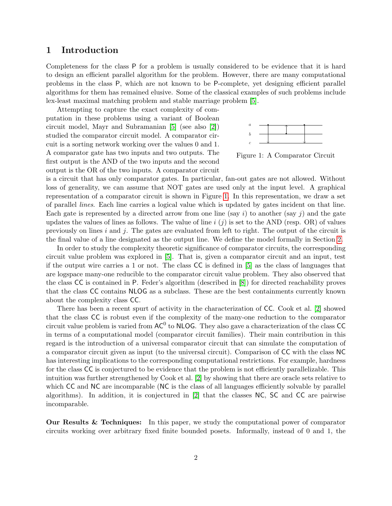## 1 Introduction

Completeness for the class P for a problem is usually considered to be evidence that it is hard to design an efficient parallel algorithm for the problem. However, there are many computational problems in the class P, which are not known to be P-complete, yet designing efficient parallel algorithms for them has remained elusive. Some of the classical examples of such problems include lex-least maximal matching problem and stable marriage problem [\[5\]](#page-19-0).

Attempting to capture the exact complexity of computation in these problems using a variant of Boolean circuit model, Mayr and Subramanian [\[5\]](#page-19-0) (see also [\[2\]](#page-19-1)) studied the comparator circuit model. A comparator circuit is a sorting network working over the values 0 and 1. A comparator gate has two inputs and two outputs. The first output is the AND of the two inputs and the second output is the OR of the two inputs. A comparator circuit

<span id="page-1-0"></span>

Figure 1: A Comparator Circuit

is a circuit that has only comparator gates. In particular, fan-out gates are not allowed. Without loss of generality, we can assume that NOT gates are used only at the input level. A graphical representation of a comparator circuit is shown in Figure [1.](#page-1-0) In this representation, we draw a set of parallel lines. Each line carries a logical value which is updated by gates incident on that line. Each gate is represented by a directed arrow from one line (say i) to another (say j) and the gate updates the values of lines as follows. The value of line  $i$  (j) is set to the AND (resp. OR) of values previously on lines i and j. The gates are evaluated from left to right. The output of the circuit is the final value of a line designated as the output line. We define the model formally in Section [2.](#page-3-0)

In order to study the complexity theoretic significance of comparator circuits, the corresponding circuit value problem was explored in [\[5\]](#page-19-0). That is, given a comparator circuit and an input, test if the output wire carries a 1 or not. The class CC is defined in [\[5\]](#page-19-0) as the class of languages that are logspace many-one reducible to the comparator circuit value problem. They also observed that the class CC is contained in P. Feder's algorithm (described in [\[8\]](#page-20-0)) for directed reachability proves that the class CC contains NLOG as a subclass. These are the best containments currently known about the complexity class CC.

There has been a recent spurt of activity in the characterization of CC. Cook et al. [\[2\]](#page-19-1) showed that the class CC is robust even if the complexity of the many-one reduction to the comparator circuit value problem is varied from  $AC^0$  to NLOG. They also gave a characterization of the class CC in terms of a computational model (comparator circuit families). Their main contribution in this regard is the introduction of a universal comparator circuit that can simulate the computation of a comparator circuit given as input (to the universal circuit). Comparison of CC with the class NC has interesting implications to the corresponding computational restrictions. For example, hardness for the class CC is conjectured to be evidence that the problem is not efficiently parallelizable. This intuition was further strengthened by Cook et al. [\[2\]](#page-19-1) by showing that there are oracle sets relative to which CC and NC are incomparable (NC is the class of all languages efficiently solvable by parallel algorithms). In addition, it is conjectured in [\[2\]](#page-19-1) that the classes NC, SC and CC are pairwise incomparable.

Our Results & Techniques: In this paper, we study the computational power of comparator circuits working over arbitrary fixed finite bounded posets. Informally, instead of 0 and 1, the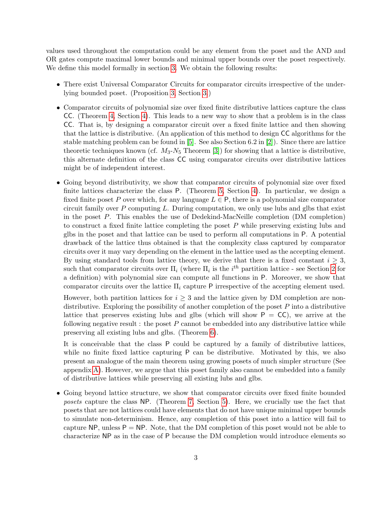values used throughout the computation could be any element from the poset and the AND and OR gates compute maximal lower bounds and minimal upper bounds over the poset respectively. We define this model formally in section [3.](#page-6-0) We obtain the following results:

- There exist Universal Comparator Circuits for comparator circuits irrespective of the underlying bounded poset. (Proposition [3,](#page-8-0) Section [3.](#page-6-0))
- Comparator circuits of polynomial size over fixed finite distributive lattices capture the class CC. (Theorem [4,](#page-8-1) Section [4\)](#page-8-2). This leads to a new way to show that a problem is in the class CC. That is, by designing a comparator circuit over a fixed finite lattice and then showing that the lattice is distributive. (An application of this method to design CC algorithms for the stable matching problem can be found in  $[5]$ . See also Section 6.2 in  $[2]$ ). Since there are lattice theoretic techniques known (cf.  $M_3-N_5$  Theorem [\[3\]](#page-19-3)) for showing that a lattice is distributive, this alternate definition of the class CC using comparator circuits over distributive lattices might be of independent interest.
- Going beyond distributivity, we show that comparator circuits of polynomial size over fixed finite lattices characterize the class P. (Theorem [5,](#page-10-0) Section [4\)](#page-8-2). In particular, we design a fixed finite poset P over which, for any language  $L \in \mathsf{P}$ , there is a polynomial size comparator circuit family over  $P$  computing  $L$ . During computation, we only use lubs and glbs that exist in the poset  $P$ . This enables the use of Dedekind-MacNeille completion (DM completion) to construct a fixed finite lattice completing the poset  $P$  while preserving existing lubs and glbs in the poset and that lattice can be used to perform all computations in P. A potential drawback of the lattice thus obtained is that the complexity class captured by comparator circuits over it may vary depending on the element in the lattice used as the accepting element. By using standard tools from lattice theory, we derive that there is a fixed constant  $i \geq 3$ , such that comparator circuits over  $\Pi_i$  (where  $\Pi_i$  is the  $i^{th}$  partition lattice - see Section [2](#page-3-0) for a definition) with polynomial size can compute all functions in P. Moreover, we show that comparator circuits over the lattice  $\Pi_i$  capture P irrespective of the accepting element used.

However, both partition lattices for  $i \geq 3$  and the lattice given by DM completion are nondistributive. Exploring the possibility of another completion of the poset  $P$  into a distributive lattice that preserves existing lubs and glbs (which will show  $P = CC$ ), we arrive at the following negative result : the poset  $P$  cannot be embedded into any distributive lattice while preserving all existing lubs and glbs. (Theorem [6\)](#page-10-1).

It is conceivable that the class P could be captured by a family of distributive lattices, while no finite fixed lattice capturing P can be distributive. Motivated by this, we also present an analogue of the main theorem using growing posets of much simpler structure (See appendix [A\)](#page-21-0). However, we argue that this poset family also cannot be embedded into a family of distributive lattices while preserving all existing lubs and glbs.

• Going beyond lattice structure, we show that comparator circuits over fixed finite bounded posets capture the class NP. (Theorem [7,](#page-12-0) Section [5\)](#page-12-1). Here, we crucially use the fact that posets that are not lattices could have elements that do not have unique minimal upper bounds to simulate non-determinism. Hence, any completion of this poset into a lattice will fail to capture  $NP$ , unless  $P = NP$ . Note, that the DM completion of this poset would not be able to characterize NP as in the case of P because the DM completion would introduce elements so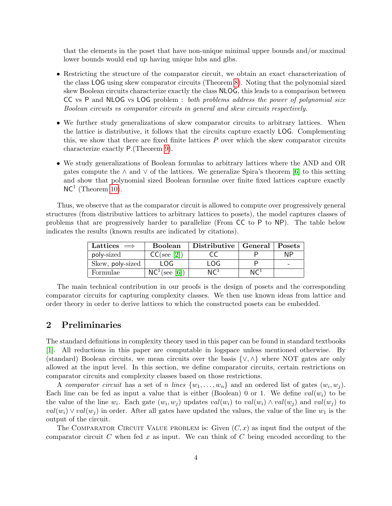that the elements in the poset that have non-unique minimal upper bounds and/or maximal lower bounds would end up having unique lubs and glbs.

- Restricting the structure of the comparator circuit, we obtain an exact characterization of the class LOG using skew comparator circuits (Theorem [8\)](#page-15-0). Noting that the polynomial sized skew Boolean circuits characterize exactly the class NLOG, this leads to a comparison between CC vs P and NLOG vs LOG problem : both problems address the power of polynomial size Boolean circuits vs comparator circuits in general and skew circuits respectively.
- We further study generalizations of skew comparator circuits to arbitrary lattices. When the lattice is distributive, it follows that the circuits capture exactly LOG. Complementing this, we show that there are fixed finite lattices  $P$  over which the skew comparator circuits characterize exactly P.(Theorem [9\)](#page-16-0).
- We study generalizations of Boolean formulas to arbitrary lattices where the AND and OR gates compute the  $\wedge$  and  $\vee$  of the lattices. We generalize Spira's theorem [\[6\]](#page-19-2) to this setting and show that polynomial sized Boolean formulae over finite fixed lattices capture exactly  $NC^1$  (Theorem [10\)](#page-18-0).

Thus, we observe that as the comparator circuit is allowed to compute over progressively general structures (from distributive lattices to arbitrary lattices to posets), the model captures classes of problems that are progressively harder to parallelize (From CC to P to NP). The table below indicates the results (known results are indicated by citations).

| Lattices $\implies$ | <b>Boolean</b>   | Distributive   General   Posets |                 |           |
|---------------------|------------------|---------------------------------|-----------------|-----------|
| poly-sized          | CC(see [2])      |                                 |                 | <b>NP</b> |
| Skew, poly-sized    | LOG              | LOG                             |                 |           |
| Formulae            | $NC^1$ (see [6]) |                                 | NC <sup>1</sup> |           |

The main technical contribution in our proofs is the design of posets and the corresponding comparator circuits for capturing complexity classes. We then use known ideas from lattice and order theory in order to derive lattices to which the constructed posets can be embedded.

## <span id="page-3-0"></span>2 Preliminaries

The standard definitions in complexity theory used in this paper can be found in standard textbooks [\[1\]](#page-19-4). All reductions in this paper are computable in logspace unless mentioned otherwise. By (standard) Boolean circuits, we mean circuits over the basis  $\{\vee, \wedge\}$  where NOT gates are only allowed at the input level. In this section, we define comparator circuits, certain restrictions on comparator circuits and complexity classes based on those restrictions.

A comparator circuit has a set of n lines  $\{w_1, \ldots, w_n\}$  and an ordered list of gates  $(w_i, w_j)$ . Each line can be fed as input a value that is either (Boolean) 0 or 1. We define  $val(w_i)$  to be the value of the line  $w_i$ . Each gate  $(w_i, w_j)$  updates  $val(w_i)$  to  $val(w_i) \wedge val(w_j)$  and  $val(w_j)$  to  $val(w_i) \vee val(w_j)$  in order. After all gates have updated the values, the value of the line  $w_1$  is the output of the circuit.

The COMPARATOR CIRCUIT VALUE PROBLEM is: Given  $(C, x)$  as input find the output of the comparator circuit C when fed x as input. We can think of C being encoded according to the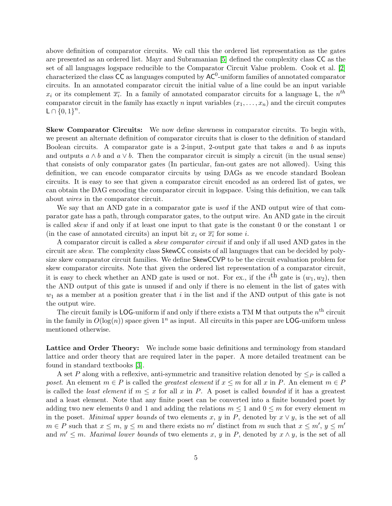above definition of comparator circuits. We call this the ordered list representation as the gates are presented as an ordered list. Mayr and Subramanian [\[5\]](#page-19-0) defined the complexity class CC as the set of all languages logspace reducible to the Comparator Circuit Value problem. Cook et al. [\[2\]](#page-19-1) characterized the class CC as languages computed by  $AC^0$ -uniform families of annotated comparator circuits. In an annotated comparator circuit the initial value of a line could be an input variable  $x_i$  or its complement  $\overline{x_i}$ . In a family of annotated comparator circuits for a language L, the  $n^{th}$ comparator circuit in the family has exactly n input variables  $(x_1, \ldots, x_n)$  and the circuit computes  $L \cap \{0,1\}^n$ .

Skew Comparator Circuits: We now define skewness in comparator circuits. To begin with, we present an alternate definition of comparator circuits that is closer to the definition of standard Boolean circuits. A comparator gate is a 2-input, 2-output gate that takes  $a$  and  $b$  as inputs and outputs  $a \wedge b$  and  $a \vee b$ . Then the comparator circuit is simply a circuit (in the usual sense) that consists of only comparator gates (In particular, fan-out gates are not allowed). Using this definition, we can encode comparator circuits by using DAGs as we encode standard Boolean circuits. It is easy to see that given a comparator circuit encoded as an ordered list of gates, we can obtain the DAG encoding the comparator circuit in logspace. Using this definition, we can talk about wires in the comparator circuit.

We say that an AND gate in a comparator gate is used if the AND output wire of that comparator gate has a path, through comparator gates, to the output wire. An AND gate in the circuit is called skew if and only if at least one input to that gate is the constant 0 or the constant 1 or (in the case of annotated circuits) an input bit  $x_i$  or  $\overline{x_i}$  for some i.

A comparator circuit is called a skew comparator circuit if and only if all used AND gates in the circuit are skew. The complexity class SkewCC consists of all languages that can be decided by polysize skew comparator circuit families. We define SkewCCVP to be the circuit evaluation problem for skew comparator circuits. Note that given the ordered list representation of a comparator circuit, it is easy to check whether an AND gate is used or not. For ex., if the  $i<sup>th</sup>$  gate is  $(w_1, w_2)$ , then the AND output of this gate is unused if and only if there is no element in the list of gates with  $w_1$  as a member at a position greater that i in the list and if the AND output of this gate is not the output wire.

The circuit family is LOG-uniform if and only if there exists a TM M that outputs the  $n<sup>th</sup>$  circuit in the family in  $O(\log(n))$  space given  $1^n$  as input. All circuits in this paper are LOG-uniform unless mentioned otherwise.

Lattice and Order Theory: We include some basic definitions and terminology from standard lattice and order theory that are required later in the paper. A more detailed treatment can be found in standard textbooks [\[3\]](#page-19-3).

A set P along with a reflexive, anti-symmetric and transitive relation denoted by  $\leq_P$  is called a poset. An element  $m \in P$  is called the *greatest element* if  $x \leq m$  for all x in P. An element  $m \in P$ is called the least element if  $m \leq x$  for all x in P. A poset is called bounded if it has a greatest and a least element. Note that any finite poset can be converted into a finite bounded poset by adding two new elements 0 and 1 and adding the relations  $m \leq 1$  and  $0 \leq m$  for every element m in the poset. Minimal upper bounds of two elements x, y in P, denoted by  $x \vee y$ , is the set of all  $m \in P$  such that  $x \leq m, y \leq m$  and there exists no m' distinct from m such that  $x \leq m'$ ,  $y \leq m'$ and  $m' \leq m$ . Maximal lower bounds of two elements x, y in P, denoted by  $x \wedge y$ , is the set of all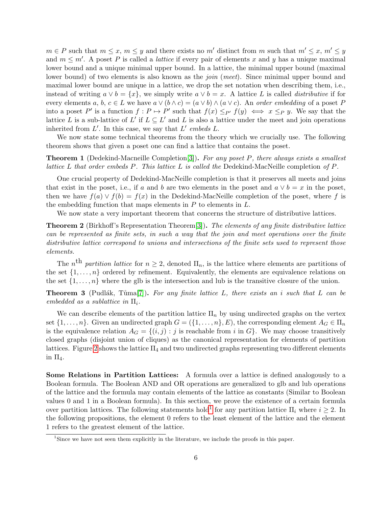$m \in P$  such that  $m \leq x, m \leq y$  and there exists no m' distinct from m such that  $m' \leq x, m' \leq y$ and  $m \leq m'$ . A poset P is called a *lattice* if every pair of elements x and y has a unique maximal lower bound and a unique minimal upper bound. In a lattice, the minimal upper bound (maximal lower bound) of two elements is also known as the *join* (*meet*). Since minimal upper bound and maximal lower bound are unique in a lattice, we drop the set notation when describing them, i.e., instead of writing  $a \vee b = \{x\}$ , we simply write  $a \vee b = x$ . A lattice L is called *distributive* if for every elements a, b,  $c \in L$  we have  $a \vee (b \wedge c) = (a \vee b) \wedge (a \vee c)$ . An order embedding of a poset P into a poset P' is a function  $f : P \mapsto P'$  such that  $f(x) \leq_{P'} f(y) \iff x \leq_P y$ . We say that the lattice L is a sub-lattice of L' if  $L \subseteq L'$  and L is also a lattice under the meet and join operations inherited from  $L'$ . In this case, we say that  $L'$  embeds  $L$ .

We now state some technical theorems from the theory which we crucially use. The following theorem shows that given a poset one can find a lattice that contains the poset.

#### **Theorem 1** (Dedekind-Macneille Completion<sup>[\[3\]](#page-19-3)</sup>). For any poset P, there always exists a smallest lattice L that order embeds P. This lattice L is called the Dedekind-MacNeille completion of P.

One crucial property of Dedekind-MacNeille completion is that it preserves all meets and joins that exist in the poset, i.e., if a and b are two elements in the poset and  $a \vee b = x$  in the poset, then we have  $f(a) \vee f(b) = f(x)$  in the Dedekind-MacNeille completion of the poset, where f is the embedding function that maps elements in  $P$  to elements in  $L$ .

We now state a very important theorem that concerns the structure of distributive lattices.

**Theorem 2** (Birkhoff's Representation Theorem<sup>[\[3\]](#page-19-3)</sup>). The elements of any finite distributive lattice can be represented as finite sets, in such a way that the join and meet operations over the finite distributive lattice correspond to unions and intersections of the finite sets used to represent those elements.

The  $n<sup>th</sup>$  partition lattice for  $n \geq 2$ , denoted  $\Pi_n$ , is the lattice where elements are partitions of the set  $\{1, \ldots, n\}$  ordered by refinement. Equivalently, the elements are equivalence relations on the set  $\{1,\ldots,n\}$  where the glb is the intersection and lub is the transitive closure of the union.

**Theorem 3** (Pudlák, Tůma[\[7\]](#page-19-5)). For any finite lattice L, there exists an i such that L can be embedded as a sublattice in  $\Pi_i$ .

We can describe elements of the partition lattice  $\Pi_n$  by using undirected graphs on the vertex set  $\{1,\ldots,n\}$ . Given an undirected graph  $G = (\{1,\ldots,n\},E)$ , the corresponding element  $A_G \in \Pi_n$ is the equivalence relation  $A_G = \{(i,j) : j \text{ is reachable from } i \text{ in } G\}$ . We may choose transitively closed graphs (disjoint union of cliques) as the canonical representation for elements of partition lattices. Figure [2](#page-6-1) shows the lattice  $\Pi_4$  and two undirected graphs representing two different elements in  $\Pi_4$ .

Some Relations in Partition Lattices: A formula over a lattice is defined analogously to a Boolean formula. The Boolean AND and OR operations are generalized to glb and lub operations of the lattice and the formula may contain elements of the lattice as constants (Similar to Boolean values 0 and 1 in a Boolean formula). In this section, we prove the existence of a certain formula over partition lattices. The following statements hold<sup>[1](#page-5-0)</sup> for any partition lattice  $\Pi_i$  where  $i \geq 2$ . In the following propositions, the element 0 refers to the least element of the lattice and the element 1 refers to the greatest element of the lattice.

<span id="page-5-0"></span><sup>&</sup>lt;sup>1</sup>Since we have not seen them explicitly in the literature, we include the proofs in this paper.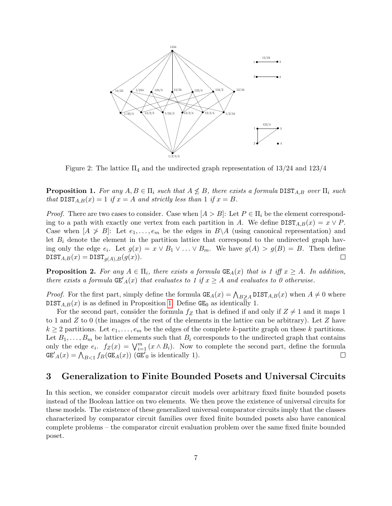<span id="page-6-1"></span>

Figure 2: The lattice  $\Pi_4$  and the undirected graph representation of 13/24 and 123/4

<span id="page-6-2"></span>**Proposition 1.** For any  $A, B \in \Pi_i$  such that  $A \nleq B$ , there exists a formula DIST<sub>A,B</sub> over  $\Pi_i$  such that  $\text{DIST}_{A,B}(x) = 1$  if  $x = A$  and strictly less than 1 if  $x = B$ .

*Proof.* There are two cases to consider. Case when  $[A > B]$ : Let  $P \in \Pi_i$  be the element corresponding to a path with exactly one vertex from each partition in A. We define  $DIST_{A,B}(x) = x \vee P$ . Case when  $[A \not\geq B]$ : Let  $e_1, \ldots, e_m$  be the edges in  $B \setminus A$  (using canonical representation) and let  $B_i$  denote the element in the partition lattice that correspond to the undirected graph having only the edge  $e_i$ . Let  $g(x) = x \vee B_1 \vee \ldots \vee B_m$ . We have  $g(A) > g(B) = B$ . Then define  $\text{DIST}_{A,B}(x) = \text{DIST}_{q(A),B}(g(x)).$  $\Box$ 

<span id="page-6-3"></span>**Proposition 2.** For any  $A \in \Pi_i$ , there exists a formula  $GE_A(x)$  that is 1 iff  $x \geq A$ . In addition, there exists a formula  $\mathsf{GE'}_A(x)$  that evaluates to 1 if  $x \geq A$  and evaluates to 0 otherwise.

*Proof.* For the first part, simply define the formula  $GE_A(x) = \bigwedge_{B \not\geq A} \text{DIST}_{A,B}(x)$  when  $A \neq 0$  where  $DIST_{A,B}(x)$  is as defined in Proposition [1.](#page-6-2) Define GE<sub>0</sub> as identically 1.

For the second part, consider the formula  $f_Z$  that is defined if and only if  $Z \neq 1$  and it maps 1 to 1 and  $Z$  to 0 (the images of the rest of the elements in the lattice can be arbitrary). Let  $Z$  have  $k \geq 2$  partitions. Let  $e_1, \ldots, e_m$  be the edges of the complete k-partite graph on these k partitions. Let  $B_1, \ldots, B_m$  be lattice elements such that  $B_i$  corresponds to the undirected graph that contains only the edge  $e_i$ .  $f_Z(x) = \bigvee_{i=1}^m (x \wedge B_i)$ . Now to complete the second part, define the formula  $GE'_A(x) = \bigwedge_{B < 1} f_B(GE_A(x))$  (GE'<sub>0</sub> is identically 1).  $\Box$ 

### <span id="page-6-0"></span>3 Generalization to Finite Bounded Posets and Universal Circuits

In this section, we consider comparator circuit models over arbitrary fixed finite bounded posets instead of the Boolean lattice on two elements. We then prove the existence of universal circuits for these models. The existence of these generalized universal comparator circuits imply that the classes characterized by comparator circuit families over fixed finite bounded posets also have canonical complete problems – the comparator circuit evaluation problem over the same fixed finite bounded poset.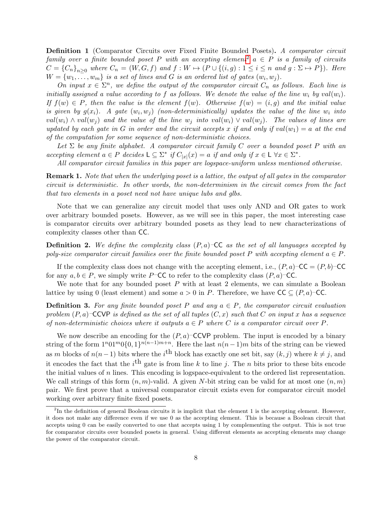<span id="page-7-1"></span>Definition 1 (Comparator Circuits over Fixed Finite Bounded Posets). A comparator circuit family over a finite bounded poset P with an accepting element<sup>[2](#page-7-0)</sup>  $a \in P$  is a family of circuits  $C = {C_n}_{n \geq 0}$  where  $C_n = (W, G, f)$  and  $f : W \mapsto (P \cup \{(i, g) : 1 \leq i \leq n \text{ and } g : \Sigma \mapsto P\})$ . Here  $W = \{w_1, \ldots, w_m\}$  is a set of lines and G is an ordered list of gates  $(w_i, w_j)$ .

On input  $x \in \Sigma^n$ , we define the output of the comparator circuit  $C_n$  as follows. Each line is initially assigned a value according to f as follows. We denote the value of the line  $w_i$  by  $val(w_i)$ . If  $f(w) \in P$ , then the value is the element  $f(w)$ . Otherwise  $f(w) = (i, g)$  and the initial value is given by  $g(x_i)$ . A gate  $(w_i, w_j)$  (non-deterministically) updates the value of the line  $w_i$  into  $val(w_i) \wedge val(w_j)$  and the value of the line  $w_j$  into  $val(w_i) \vee val(w_j)$ . The values of lines are updated by each gate in G in order and the circuit accepts x if and only if  $val(w_1) = a$  at the end of the computation for some sequence of non-deterministic choices.

Let  $\Sigma$  be any finite alphabet. A comparator circuit family C over a bounded poset P with an accepting element  $a \in P$  decides  $L \subseteq \Sigma^*$  if  $C_{|x|}(x) = a$  if and only if  $x \in L \ \forall x \in \Sigma^*$ .

All comparator circuit families in this paper are logspace-uniform unless mentioned otherwise.

Remark 1. Note that when the underlying poset is a lattice, the output of all gates in the comparator circuit is deterministic. In other words, the non-determinism in the circuit comes from the fact that two elements in a poset need not have unique lubs and glbs.

Note that we can generalize any circuit model that uses only AND and OR gates to work over arbitrary bounded posets. However, as we will see in this paper, the most interesting case is comparator circuits over arbitrary bounded posets as they lead to new characterizations of complexity classes other than CC.

**Definition 2.** We define the complexity class  $(P, a)$ –CC as the set of all languages accepted by poly-size comparator circuit families over the finite bounded poset P with accepting element  $a \in P$ .

If the complexity class does not change with the accepting element, i.e.,  $(P, a)$ –CC =  $(P, b)$ –CC for any  $a, b \in P$ , we simply write P–CC to refer to the complexity class  $(P, a)$ –CC.

We note that for any bounded poset  $P$  with at least 2 elements, we can simulate a Boolean lattice by using 0 (least element) and some  $a > 0$  in P. Therefore, we have  $\mathsf{CC} \subseteq (P, a)$ –CC.

**Definition 3.** For any finite bounded poset P and any  $a \in P$ , the comparator circuit evaluation problem  $(P, a)$ –CCVP is defined as the set of all tuples  $(C, x)$  such that C on input x has a sequence of non-deterministic choices where it outputs  $a \in P$  where C is a comparator circuit over P.

We now describe an encoding for the  $(P, a)$ –CCVP problem. The input is encoded by a binary string of the form  $1^n01^m0{0,1}^{n(n-1)m+n}$ . Here the last  $n(n-1)m$  bits of the string can be viewed as m blocks of  $n(n-1)$  bits where the i<sup>th</sup> block has exactly one set bit, say  $(k, j)$  where  $k \neq j$ , and it encodes the fact that the  $i<sup>th</sup>$  gate is from line k to line j. The n bits prior to these bits encode the initial values of  $n$  lines. This encoding is logspace-equivalent to the ordered list representation. We call strings of this form  $(n, m)$ -valid. A given N-bit string can be valid for at most one  $(n, m)$ pair. We first prove that a universal comparator circuit exists even for comparator circuit model working over arbitrary finite fixed posets.

<span id="page-7-0"></span> $^{2}$ In the definition of general Boolean circuits it is implicit that the element 1 is the accepting element. However, it does not make any difference even if we use 0 as the accepting element. This is because a Boolean circuit that accepts using 0 can be easily converted to one that accepts using 1 by complementing the output. This is not true for comparator circuits over bounded posets in general. Using different elements as accepting elements may change the power of the comparator circuit.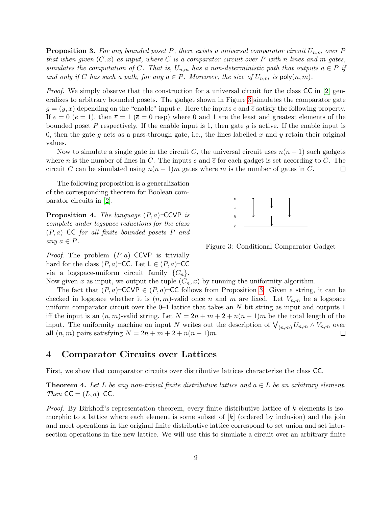<span id="page-8-0"></span>**Proposition 3.** For any bounded poset P, there exists a universal comparator circuit  $U_{n,m}$  over P that when given  $(C, x)$  as input, where C is a comparator circuit over P with n lines and m gates, simulates the computation of C. That is,  $U_{n,m}$  has a non-deterministic path that outputs  $a \in P$  if and only if C has such a path, for any  $a \in P$ . Moreover, the size of  $U_{n,m}$  is  $\mathsf{poly}(n,m)$ .

*Proof.* We simply observe that the construction for a universal circuit for the class  $\mathsf{CC}$  in [\[2\]](#page-19-1) generalizes to arbitrary bounded posets. The gadget shown in Figure [3](#page-8-3) simulates the comparator gate  $g = (y, x)$  depending on the "enable" input e. Here the inputs e and  $\bar{e}$  satisfy the following property. If  $e = 0$   $(e = 1)$ , then  $\overline{e} = 1$   $(\overline{e} = 0 \text{ resp})$  where 0 and 1 are the least and greatest elements of the bounded poset P respectively. If the enable input is 1, then gate g is active. If the enable input is 0, then the gate g acts as a pass-through gate, i.e., the lines labelled x and y retain their original values.

Now to simulate a single gate in the circuit C, the universal circuit uses  $n(n-1)$  such gadgets where n is the number of lines in C. The inputs e and  $\bar{e}$  for each gadget is set according to C. The circuit C can be simulated using  $n(n-1)m$  gates where m is the number of gates in C.  $\Box$ 

The following proposition is a generalization of the corresponding theorem for Boolean comparator circuits in [\[2\]](#page-19-1).

**Proposition 4.** The language  $(P, a)$ –CCVP is complete under logspace reductions for the class  $(P, a)$ –CC for all finite bounded posets P and any  $a \in P$ .

*Proof.* The problem  $(P, a)$ –CCVP is trivially hard for the class  $(P, a)$ –CC. Let  $L \in (P, a)$ –CC via a logspace-uniform circuit family  $\{C_n\}.$ 

<span id="page-8-3"></span>

Figure 3: Conditional Comparator Gadget

Now given x as input, we output the tuple  $(C_n, x)$  by running the uniformity algorithm.

The fact that  $(P, a)$ –CCVP  $\in (P, a)$ –CC follows from Proposition [3.](#page-8-0) Given a string, it can be checked in logspace whether it is  $(n, m)$ -valid once n and m are fixed. Let  $V_{n,m}$  be a logspace uniform comparator circuit over the  $0-1$  lattice that takes an N bit string as input and outputs 1 iff the input is an  $(n, m)$ -valid string. Let  $N = 2n + m + 2 + n(n - 1)m$  be the total length of the input. The uniformity machine on input N writes out the description of  $\bigvee_{(n,m)} U_{n,m} \wedge V_{n,m}$  over all  $(n, m)$  pairs satisfying  $N = 2n + m + 2 + n(n - 1)m$ .  $\Box$ 

### <span id="page-8-2"></span>4 Comparator Circuits over Lattices

First, we show that comparator circuits over distributive lattices characterize the class CC.

<span id="page-8-1"></span>**Theorem 4.** Let L be any non-trivial finite distributive lattice and  $a \in L$  be an arbitrary element. Then  $CC = (L, a)$ -CC.

*Proof.* By Birkhoff's representation theorem, every finite distributive lattice of  $k$  elements is isomorphic to a lattice where each element is some subset of  $k$  (ordered by inclusion) and the join and meet operations in the original finite distributive lattice correspond to set union and set intersection operations in the new lattice. We will use this to simulate a circuit over an arbitrary finite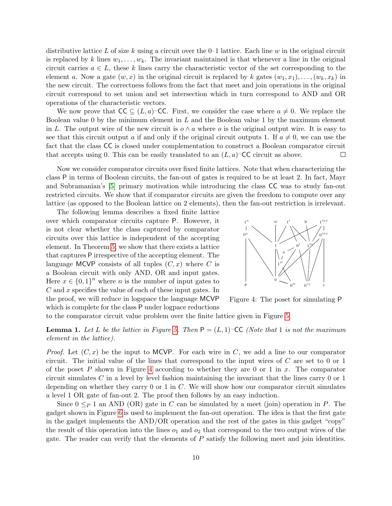distributive lattice L of size k using a circuit over the  $0-1$  lattice. Each line w in the original circuit is replaced by k lines  $w_1, \ldots, w_k$ . The invariant maintained is that whenever a line in the original circuit carries  $a \in L$ , these k lines carry the characteristic vector of the set corresponding to the element a. Now a gate  $(w, x)$  in the original circuit is replaced by k gates  $(w_1, x_1), \ldots, (w_k, x_k)$  in the new circuit. The correctness follows from the fact that meet and join operations in the original circuit correspond to set union and set intersection which in turn correspond to AND and OR operations of the characteristic vectors.

We now prove that  $\mathsf{CC} \subseteq (L, a)$ –CC. First, we consider the case where  $a \neq 0$ . We replace the Boolean value  $0$  by the minimum element in  $L$  and the Boolean value  $1$  by the maximum element in L. The output wire of the new circuit is  $o \wedge a$  where o is the original output wire. It is easy to see that this circuit output a if and only if the original circuit outputs 1. If  $a \neq 0$ , we can use the fact that the class CC is closed under complementation to construct a Boolean comparator circuit that accepts using 0. This can be easily translated to an  $(L, a)$ –CC circuit as above.  $\Box$ 

Now we consider comparator circuits over fixed finite lattices. Note that when characterizing the class P in terms of Boolean circuits, the fan-out of gates is required to be at least 2. In fact, Mayr and Subramanian's [\[5\]](#page-19-0) primary motivation while introducing the class CC was to study fan-out restricted circuits. We show that if comparator circuits are given the freedom to compute over any lattice (as opposed to the Boolean lattice on 2 elements), then the fan-out restriction is irrelevant.

The following lemma describes a fixed finite lattice over which comparator circuits capture P. However, it is not clear whether the class captured by comparator circuits over this lattice is independent of the accepting element. In Theorem [5,](#page-10-0) we show that there exists a lattice that captures P irrespective of the accepting element. The language MCVP consists of all tuples  $(C, x)$  where C is a Boolean circuit with only AND, OR and input gates. Here  $x \in \{0,1\}^n$  where *n* is the number of input gates to  $C$  and  $x$  specifies the value of each of these input gates. In the proof, we will reduce in logspace the language MCVP which is complete for the class P under logpace reductions

<span id="page-9-0"></span>

Figure 4: The poset for simulating P

to the comparator circuit value problem over the finite lattice given in Figure [5.](#page-11-0)

<span id="page-9-1"></span>**Lemma 1.** Let L be the lattice in Figure [5.](#page-11-0) Then  $P = (L, 1)$ –CC (Note that 1 is not the maximum element in the lattice).

*Proof.* Let  $(C, x)$  be the input to MCVP. For each wire in C, we add a line to our comparator circuit. The initial value of the lines that correspond to the input wires of  $C$  are set to 0 or 1 of the poset P shown in Figure [4](#page-9-0) according to whether they are 0 or 1 in  $x$ . The comparator circuit simulates C in a level by level fashion maintaining the invariant that the lines carry  $0$  or  $1$ depending on whether they carry  $0$  or  $1$  in  $C$ . We will show how our comparator circuit simulates a level 1 OR gate of fan-out 2. The proof then follows by an easy induction.

Since  $0 \leq_P 1$  an AND (OR) gate in C can be simulated by a meet (join) operation in P. The gadget shown in Figure [6](#page-11-1) is used to implement the fan-out operation. The idea is that the first gate in the gadget implements the AND/OR operation and the rest of the gates in this gadget "copy" the result of this operation into the lines  $o_1$  and  $o_2$  that correspond to the two output wires of the gate. The reader can verify that the elements of  $P$  satisfy the following meet and join identities.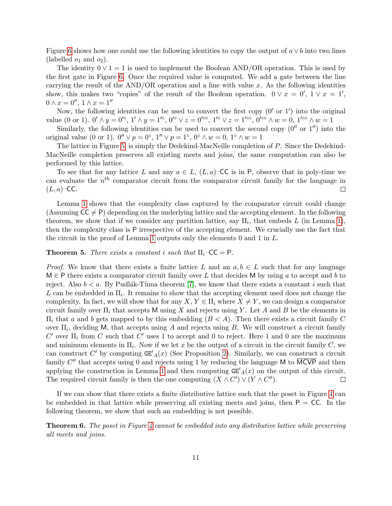Figure [6](#page-11-1) shows how one could use the following identities to copy the output of  $a \vee b$  into two lines (labelled  $o_1$  and  $o_2$ ).

The identity  $0 \vee 1 = 1$  is used to implement the Boolean AND/OR operation. This is used by the first gate in Figure [6.](#page-11-1) Once the required value is computed. We add a gate between the line carrying the result of the  $AND/OR$  operation and a line with value x. As the following identities show, this makes two "copies" of the result of the Boolean operation.  $0 \vee x = 0'$ ,  $1 \vee x = 1'$ ,  $0 \wedge x = 0'', 1 \wedge x = 1''$ 

Now, the following identities can be used to convert the first copy  $(0'$  or  $1')$  into the original value (0 or 1).  $0' \wedge y = 0'^{\circ}, 1' \wedge y = 1'^{\circ}, 0'^{\circ} \vee z = 0'^{\circ \circ}, 1'^{\circ} \vee z = 1'^{\circ \circ}, 0'^{\circ \circ} \wedge w = 0, 1'^{\circ \circ} \wedge w = 1$ 

Similarly, the following identities can be used to convert the second copy  $(0<sup>0</sup>$  or  $1<sup>0</sup>)$  into the original value (0 or 1).  $0'' \vee p = 0^{\circ}$ ,  $1'' \vee p = 1^{\circ}$ ,  $0^{\circ} \wedge w = 0$ ,  $1^{\circ} \wedge w = 1$ 

The lattice in Figure [5](#page-11-0) is simply the Dedekind-MacNeille completion of P. Since the Dedekind-MacNeille completion preserves all existing meets and joins, the same computation can also be performed by this lattice.

To see that for any lattice L and any  $a \in L$ ,  $(L, a)$ –CC is in P, observe that in poly-time we can evaluate the  $n^{th}$  comparator circuit from the comparator circuit family for the language in  $(L, a)$ –CC.  $\Box$ 

Lemma [1](#page-9-1) shows that the complexity class captured by the comparator circuit could change (Assuming  $CC \neq P$ ) depending on the underlying lattice and the accepting element. In the following theorem, we show that if we consider any partition lattice, say  $\Pi_i$ , that embeds L (in Lemma [1\)](#page-9-1), then the complexity class is P irrespective of the accepting element. We crucially use the fact that the circuit in the proof of Lemma [1](#page-9-1) outputs only the elements 0 and 1 in L.

### <span id="page-10-0"></span>**Theorem 5.** There exists a constant i such that  $\Pi_i$ -CC = P.

*Proof.* We know that there exists a finite lattice L and an  $a, b \in L$  such that for any language  $M \in \mathsf{P}$  there exists a comparator circuit family over L that decides M by using a to accept and b to reject. Also  $b < a$ . By Pudlák-Tůma theorem [\[7\]](#page-19-5), we know that there exists a constant i such that L can be embedded in  $\Pi_i$ . It remains to show that the accepting element used does not change the complexity. In fact, we will show that for any  $X, Y \in \Pi_i$  where  $X \neq Y$ , we can design a comparator circuit family over  $\Pi_i$  that accepts M using X and rejects using Y. Let A and B be the elements in  $\Pi_i$  that a and b gets mapped to by this embedding  $(B < A)$ . Then there exists a circuit family C over  $\Pi_i$ , deciding M, that accepts using A and rejects using B. We will construct a circuit family  $C'$  over  $\Pi$ <sub>i</sub> from C such that C' uses 1 to accept and 0 to reject. Here 1 and 0 are the maximum and minimum elements in  $\Pi_i$ . Now if we let x be the output of a circuit in the circuit family C, we can construct C' by computing  $GE'_A(x)$  (See Proposition [2\)](#page-6-3). Similarly, we can construct a circuit family  $C''$  that accepts using 0 and rejects using 1 by reducing the language M to  $\overline{\text{MCVP}}$  and then applying the construction in Lemma [1](#page-9-1) and then computing  $GE'_A(x)$  on the output of this circuit. The required circuit family is then the one computing  $(X \wedge C') \vee (Y \wedge C'')$ .  $\Box$ 

If we can show that there exists a finite distributive lattice such that the poset in Figure [4](#page-9-0) can be embedded in that lattice while preserving all existing meets and joins, then  $P = CC$ . In the following theorem, we show that such an embedding is not possible.

<span id="page-10-1"></span>**Theorem 6.** The poset in Figure [4](#page-9-0) cannot be embedded into any distributive lattice while preserving all meets and joins.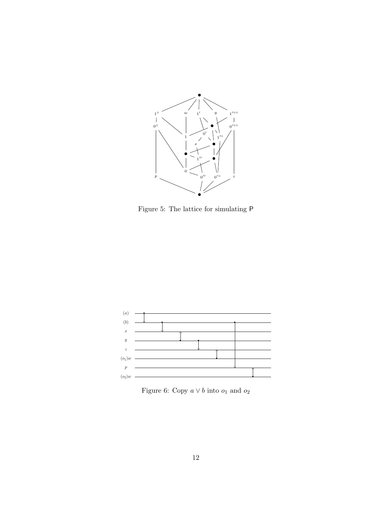<span id="page-11-0"></span>

Figure 5: The lattice for simulating P

<span id="page-11-1"></span>

Figure 6: Copy $a \vee b$  into  $o_1$  and  $o_2$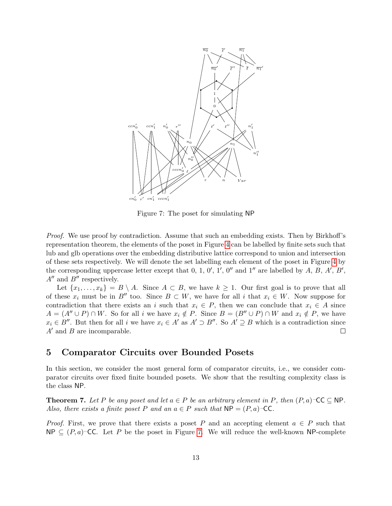<span id="page-12-2"></span>

Figure 7: The poset for simulating NP

Proof. We use proof by contradiction. Assume that such an embedding exists. Then by Birkhoff's representation theorem, the elements of the poset in Figure [4](#page-9-0) can be labelled by finite sets such that lub and glb operations over the embedding distributive lattice correspond to union and intersection of these sets respectively. We will denote the set labelling each element of the poset in Figure [4](#page-9-0) by the corresponding uppercase letter except that 0, 1, 0', 1', 0" and 1" are labelled by A, B, A', B',  $A''$  and  $B''$  respectively.

Let  $\{x_1, \ldots, x_k\} = B \setminus A$ . Since  $A \subset B$ , we have  $k \ge 1$ . Our first goal is to prove that all of these  $x_i$  must be in B<sup>''</sup> too. Since  $B \subset W$ , we have for all i that  $x_i \in W$ . Now suppose for contradiction that there exists an i such that  $x_i \in P$ , then we can conclude that  $x_i \in A$  since  $A = (A'' \cup P) \cap W$ . So for all i we have  $x_i \notin P$ . Since  $B = (B'' \cup P) \cap W$  and  $x_i \notin P$ , we have  $x_i \in B''$ . But then for all i we have  $x_i \in A'$  as  $A' \supset B''$ . So  $A' \supseteq B$  which is a contradiction since  $A'$  and  $B$  are incomparable.  $\Box$ 

### <span id="page-12-1"></span>5 Comparator Circuits over Bounded Posets

In this section, we consider the most general form of comparator circuits, i.e., we consider comparator circuits over fixed finite bounded posets. We show that the resulting complexity class is the class NP.

<span id="page-12-0"></span>**Theorem 7.** Let P be any poset and let  $a \in P$  be an arbitrary element in P, then  $(P, a)$ –CC  $\subseteq$  NP. Also, there exists a finite poset P and an  $a \in P$  such that  $NP = (P, a)$ -CC.

*Proof.* First, we prove that there exists a poset P and an accepting element  $a \in P$  such that  $\mathsf{NP} \subset (P, a)$ –CC. Let P be the poset in Figure [7.](#page-12-2) We will reduce the well-known NP-complete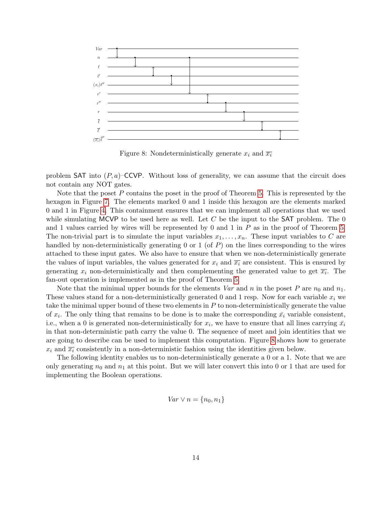<span id="page-13-0"></span>

Figure 8: Nondeterministically generate  $x_i$  and  $\overline{x_i}$ 

problem SAT into  $(P, a)$ –CCVP. Without loss of generality, we can assume that the circuit does not contain any NOT gates.

Note that the poset P contains the poset in the proof of Theorem [5.](#page-10-0) This is represented by the hexagon in Figure [7.](#page-12-2) The elements marked 0 and 1 inside this hexagon are the elements marked 0 and 1 in Figure [4.](#page-9-0) This containment ensures that we can implement all operations that we used while simulating MCVP to be used here as well. Let  $C$  be the input to the SAT problem. The 0 and 1 values carried by wires will be represented by 0 and 1 in  $P$  as in the proof of Theorem [5.](#page-10-0) The non-trivial part is to simulate the input variables  $x_1, \ldots, x_n$ . These input variables to C are handled by non-deterministically generating 0 or 1 (of  $P$ ) on the lines corresponding to the wires attached to these input gates. We also have to ensure that when we non-deterministically generate the values of input variables, the values generated for  $x_i$  and  $\overline{x_i}$  are consistent. This is ensured by generating  $x_i$  non-deterministically and then complementing the generated value to get  $\overline{x_i}$ . The fan-out operation is implemented as in the proof of Theorem [5.](#page-10-0)

Note that the minimal upper bounds for the elements Var and n in the poset P are  $n_0$  and  $n_1$ . These values stand for a non-deterministically generated 0 and 1 resp. Now for each variable  $x_i$  we take the minimal upper bound of these two elements in  $P$  to non-deterministically generate the value of  $x_i$ . The only thing that remains to be done is to make the corresponding  $\bar{x}_i$  variable consistent, i.e., when a 0 is generated non-deterministically for  $x_i$ , we have to ensure that all lines carrying  $\bar{x_i}$ in that non-deterministic path carry the value 0. The sequence of meet and join identities that we are going to describe can be used to implement this computation. Figure [8](#page-13-0) shows how to generate  $x_i$  and  $\overline{x_i}$  consistently in a non-deterministic fashion using the identities given below.

The following identity enables us to non-deterministically generate a 0 or a 1. Note that we are only generating  $n_0$  and  $n_1$  at this point. But we will later convert this into 0 or 1 that are used for implementing the Boolean operations.

$$
Var \vee n = \{n_0, n_1\}
$$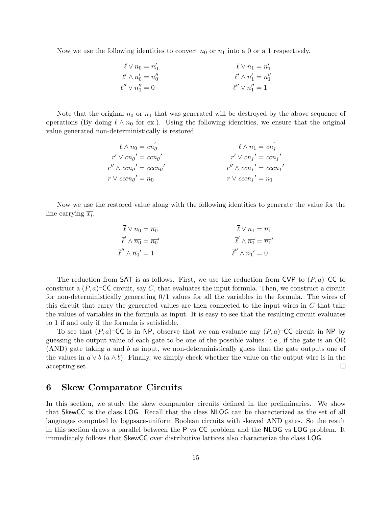Now we use the following identities to convert  $n_0$  or  $n_1$  into a 0 or a 1 respectively.

$$
\ell \vee n_0 = n'_0
$$
  
\n
$$
\ell' \wedge n'_0 = n''_0
$$
  
\n
$$
\ell' \wedge n'_1 = n''_1
$$
  
\n
$$
\ell' \wedge n'_1 = n''_1
$$
  
\n
$$
\ell'' \vee n''_1 = 1
$$

Note that the original  $n_0$  or  $n_1$  that was generated will be destroyed by the above sequence of operations (By doing  $\ell \wedge n_0$  for ex.). Using the following identities, we ensure that the original value generated non-deterministically is restored.

$$
\ell \wedge n_0 = cn'_0
$$
  
\n
$$
r' \vee cn_0' = ccn_0'
$$
  
\n
$$
r'' \wedge ccn_0' = ccn_0'
$$
  
\n
$$
r'' \wedge ccn_1' = ccn_1'
$$
  
\n
$$
r \vee ccn_0' = n_0
$$
  
\n
$$
r \vee ccn_1' = n_1
$$

Now we use the restored value along with the following identities to generate the value for the line carrying  $\overline{x_i}$ .

$$
\overline{\ell} \vee n_0 = \overline{n_0} \qquad \qquad \overline{\ell} \vee n_1 = \overline{n_1}
$$
  

$$
\overline{\ell}' \wedge \overline{n_0} = \overline{n_0}' \qquad \qquad \overline{\ell}' \wedge \overline{n_1} = \overline{n_1}'
$$
  

$$
\overline{\ell}'' \wedge \overline{n_0}' = 1 \qquad \qquad \overline{\ell}'' \wedge \overline{n_1}' = 0
$$

The reduction from SAT is as follows. First, we use the reduction from CVP to  $(P, a)$ –CC to construct a  $(P, a)$ –CC circuit, say C, that evaluates the input formula. Then, we construct a circuit for non-deterministically generating  $0/1$  values for all the variables in the formula. The wires of this circuit that carry the generated values are then connected to the input wires in  $C$  that take the values of variables in the formula as input. It is easy to see that the resulting circuit evaluates to 1 if and only if the formula is satisfiable.

To see that  $(P, a)$ –CC is in NP, observe that we can evaluate any  $(P, a)$ –CC circuit in NP by guessing the output value of each gate to be one of the possible values. i.e., if the gate is an OR (AND) gate taking a and b as input, we non-deterministically guess that the gate outputs one of the values in  $a \vee b$   $(a \wedge b)$ . Finally, we simply check whether the value on the output wire is in the accepting set.  $\Box$ 

#### 6 Skew Comparator Circuits

In this section, we study the skew comparator circuits defined in the preliminaries. We show that SkewCC is the class LOG. Recall that the class NLOG can be characterized as the set of all languages computed by logpsace-uniform Boolean circuits with skewed AND gates. So the result in this section draws a parallel between the P vs CC problem and the NLOG vs LOG problem. It immediately follows that SkewCC over distributive lattices also characterize the class LOG.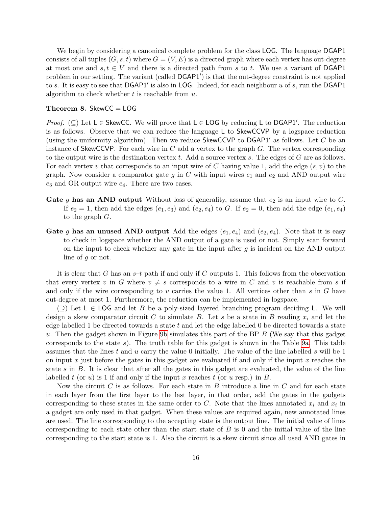We begin by considering a canonical complete problem for the class LOG. The language DGAP1 consists of all tuples  $(G, s, t)$  where  $G = (V, E)$  is a directed graph where each vertex has out-degree at most one and  $s, t \in V$  and there is a directed path from s to t. We use a variant of DGAP1 problem in our setting. The variant (called DGAP1') is that the out-degree constraint is not applied to s. It is easy to see that  $DGAP1'$  is also in LOG. Indeed, for each neighbour u of s, run the DGAP1 algorithm to check whether  $t$  is reachable from  $u$ .

#### <span id="page-15-0"></span>Theorem 8. SkewCC = LOG

*Proof.* ( $\subseteq$ ) Let L  $\in$  SkewCC. We will prove that L  $\in$  LOG by reducing L to DGAP1'. The reduction is as follows. Observe that we can reduce the language L to SkewCCVP by a logspace reduction (using the uniformity algorithm). Then we reduce SkewCCVP to  $DGAPI'$  as follows. Let C be an instance of SkewCCVP. For each wire in  $C$  add a vertex to the graph  $G$ . The vertex corresponding to the output wire is the destination vertex  $t$ . Add a source vertex  $s$ . The edges of  $G$  are as follows. For each vertex v that corresponds to an input wire of C having value 1, add the edge  $(s, v)$  to the graph. Now consider a comparator gate  $g$  in  $C$  with input wires  $e_1$  and  $e_2$  and AND output wire  $e_3$  and OR output wire  $e_4$ . There are two cases.

- Gate g has an AND output Without loss of generality, assume that  $e_2$  is an input wire to C. If  $e_2 = 1$ , then add the edges  $(e_1, e_3)$  and  $(e_2, e_4)$  to G. If  $e_2 = 0$ , then add the edge  $(e_1, e_4)$ to the graph  $G$ .
- Gate g has an unused AND output Add the edges  $(e_1, e_4)$  and  $(e_2, e_4)$ . Note that it is easy to check in logspace whether the AND output of a gate is used or not. Simply scan forward on the input to check whether any gate in the input after  $g$  is incident on the AND output line of g or not.

It is clear that G has an  $s-t$  path if and only if C outputs 1. This follows from the observation that every vertex v in G where  $v \neq s$  corresponds to a wire in C and v is reachable from s if and only if the wire corresponding to v carries the value 1. All vertices other than s in  $G$  have out-degree at most 1. Furthermore, the reduction can be implemented in logspace.

 $(2)$  Let L  $\in$  LOG and let B be a poly-sized layered branching program deciding L. We will design a skew comparator circuit C to simulate B. Let s be a state in B reading  $x_i$  and let the edge labelled 1 be directed towards a state t and let the edge labelled 0 be directed towards a state u. Then the gadget shown in Figure [9b](#page-16-1) simulates this part of the BP  $\overline{B}$  (We say that this gadget corresponds to the state  $s$ ). The truth table for this gadget is shown in the Table [9a.](#page-16-1) This table assumes that the lines t and u carry the value 0 initially. The value of the line labelled s will be 1 on input x just before the gates in this gadget are evaluated if and only if the input x reaches the state s in B. It is clear that after all the gates in this gadget are evaluated, the value of the line labelled t (or u) is 1 if and only if the input x reaches t (or u resp.) in B.

Now the circuit C is as follows. For each state in B introduce a line in C and for each state in each layer from the first layer to the last layer, in that order, add the gates in the gadgets corresponding to these states in the same order to C. Note that the lines annotated  $x_i$  and  $\overline{x_i}$  in a gadget are only used in that gadget. When these values are required again, new annotated lines are used. The line corresponding to the accepting state is the output line. The initial value of lines corresponding to each state other than the start state of  $B$  is 0 and the initial value of the line corresponding to the start state is 1. Also the circuit is a skew circuit since all used AND gates in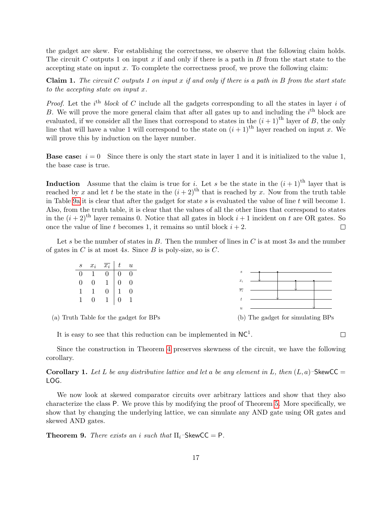the gadget are skew. For establishing the correctness, we observe that the following claim holds. The circuit C outputs 1 on input x if and only if there is a path in B from the start state to the accepting state on input x. To complete the correctness proof, we prove the following claim:

**Claim 1.** The circuit C outputs 1 on input x if and only if there is a path in B from the start state to the accepting state on input x.

*Proof.* Let the  $i^{\text{th}}$  block of C include all the gadgets corresponding to all the states in layer i of B. We will prove the more general claim that after all gates up to and including the  $i<sup>th</sup>$  block are evaluated, if we consider all the lines that correspond to states in the  $(i + 1)$ <sup>th</sup> layer of B, the only line that will have a value 1 will correspond to the state on  $(i + 1)$ <sup>th</sup> layer reached on input x. We will prove this by induction on the layer number.

**Base case:**  $i = 0$  Since there is only the start state in layer 1 and it is initialized to the value 1, the base case is true.

**Induction** Assume that the claim is true for i. Let s be the state in the  $(i + 1)$ <sup>th</sup> layer that is reached by x and let t be the state in the  $(i + 2)^{th}$  that is reached by x. Now from the truth table in Table [9a](#page-16-1) it is clear that after the gadget for state  $s$  is evaluated the value of line  $t$  will become 1. Also, from the truth table, it is clear that the values of all the other lines that correspond to states in the  $(i + 2)$ <sup>th</sup> layer remains 0. Notice that all gates in block  $i + 1$  incident on t are OR gates. So once the value of line t becomes 1, it remains so until block  $i + 2$ .  $\Box$ 

<span id="page-16-1"></span>Let s be the number of states in B. Then the number of lines in C is at most 3s and the number of gates in  $C$  is at most 4s. Since  $B$  is poly-size, so is  $C$ .

| $\boldsymbol{s}$ |             | $x_i \quad \overline{x_i} \mid t \quad u$ |  |
|------------------|-------------|-------------------------------------------|--|
|                  | $0 \quad 1$ | $0 \mid 0 \mid 0$                         |  |
|                  |             | $0 \t 0 \t 1 \t 0 \t 0$                   |  |
|                  | $1 \quad 1$ | $0 \mid 1 \mid 0$                         |  |
|                  |             | $1 \t0 \t1 \t0 \t1$                       |  |
|                  |             |                                           |  |

(b) The gadget for simulating BPs

 $\Box$ 

(a) Truth Table for the gadget for BPs

It is easy to see that this reduction can be implemented in  $NC<sup>1</sup>$ .

Since the construction in Theorem [4](#page-8-1) preserves skewness of the circuit, we have the following corollary.

**Corollary 1.** Let L be any distributive lattice and let a be any element in L, then  $(L, a)$ –SkewCC = LOG.

We now look at skewed comparator circuits over arbitrary lattices and show that they also characterize the class P. We prove this by modifying the proof of Theorem [5.](#page-10-0) More specifically, we show that by changing the underlying lattice, we can simulate any AND gate using OR gates and skewed AND gates.

<span id="page-16-0"></span>**Theorem 9.** There exists an i such that  $\Pi_i$ -SkewCC = P.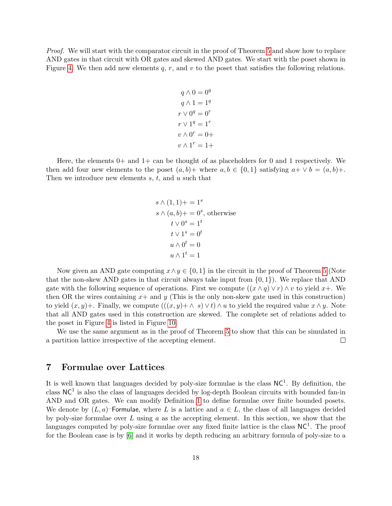Proof. We will start with the comparator circuit in the proof of Theorem [5](#page-10-0) and show how to replace AND gates in that circuit with OR gates and skewed AND gates. We start with the poset shown in Figure [4.](#page-9-0) We then add new elements  $q, r$ , and  $v$  to the poset that satisfies the following relations.

$$
q \wedge 0 = 0q
$$
  
\n
$$
q \wedge 1 = 1q
$$
  
\n
$$
r \vee 0q = 0r
$$
  
\n
$$
r \vee 1q = 1r
$$
  
\n
$$
v \wedge 0r = 0+
$$
  
\n
$$
v \wedge 1r = 1+
$$

Here, the elements  $0+$  and  $1+$  can be thought of as placeholders for 0 and 1 respectively. We then add four new elements to the poset  $(a, b)$ + where  $a, b \in \{0, 1\}$  satisfying  $a + \vee b = (a, b) +$ . Then we introduce new elements  $s, t$ , and  $u$  such that

> $s \wedge (1,1) + 1^s$  $s \wedge (a, b) + = 0^s$ , otherwise  $t \vee 0^s = 1^t$  $t\vee 1^s=0^t$  $u \wedge 0^t = 0$  $u \wedge 1^t = 1$

Now given an AND gate computing  $x \wedge y \in \{0, 1\}$  in the circuit in the proof of Theorem [5](#page-10-0) (Note that the non-skew AND gates in that circuit always take input from  $\{0, 1\}$ ). We replace that AND gate with the following sequence of operations. First we compute  $((x \wedge q) \vee r) \wedge v$  to yield  $x+$ . We then OR the wires containing  $x+$  and  $y$  (This is the only non-skew gate used in this construction) to yield  $(x, y)$ +. Finally, we compute  $(((x, y) + \wedge s) \vee t) \wedge u$  to yield the required value  $x \wedge y$ . Note that all AND gates used in this construction are skewed. The complete set of relations added to the poset in Figure [4](#page-9-0) is listed in Figure [10.](#page-18-1)

We use the same argument as in the proof of Theorem [5](#page-10-0) to show that this can be simulated in a partition lattice irrespective of the accepting element.  $\Box$ 

#### 7 Formulae over Lattices

It is well known that languages decided by poly-size formulae is the class  $NC<sup>1</sup>$ . By definition, the class  $NC<sup>1</sup>$  is also the class of languages decided by log-depth Boolean circuits with bounded fan-in AND and OR gates. We can modify Definition [1](#page-7-1) to define formulae over finite bounded posets. We denote by  $(L, a)$ –Formulae, where L is a lattice and  $a \in L$ , the class of all languages decided by poly-size formulae over  $L$  using  $a$  as the accepting element. In this section, we show that the languages computed by poly-size formulae over any fixed finite lattice is the class  $NC<sup>1</sup>$ . The proof for the Boolean case is by [\[6\]](#page-19-2) and it works by depth reducing an arbitrary formula of poly-size to a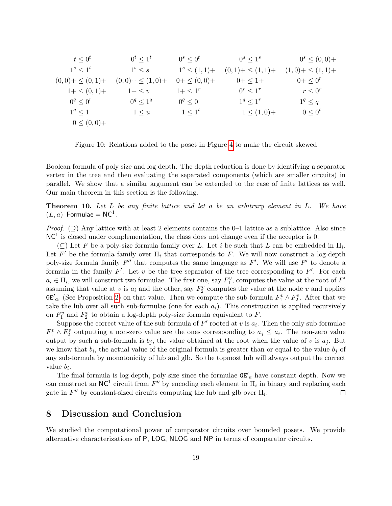<span id="page-18-1"></span>

| $t \leq 0^t$        | $0^t < 1^t$         | $0^s \leq 0^t$     | $0^s < 1^s$          | $0^s \le (0,0) +$   |
|---------------------|---------------------|--------------------|----------------------|---------------------|
| $1^s < 1^t$         | $1^s \leq s$        | $1^s \leq (1,1) +$ | $(0,1)+ \leq (1,1)+$ | $(1,0)+\leq (1,1)+$ |
| $(0,0)+\leq (0,1)+$ | $(0,0)+\leq (1,0)+$ | $0+ \leq (0,0) +$  | $0+ \leq 1+$         | $0+\leq 0^r$        |
| $1+\leq (0,1)+$     | $1+\leq v$          | $1+\leq 1^r$       | $0^r \leq 1^r$       | $r \leq 0^r$        |
| $0^q < 0^r$         | $0^q < 1^q$         | $0^q \leq 0$       | $1^q < 1^r$          | $1^q \leq q$        |
| $1^q < 1$           | $1 \leq u$          | $1 \leq 1^t$       | $1 \leq (1,0) +$     | $0 \leq 0^t$        |
| $0 \leq (0,0) +$    |                     |                    |                      |                     |

Figure 10: Relations added to the poset in Figure [4](#page-9-0) to make the circuit skewed

Boolean formula of poly size and log depth. The depth reduction is done by identifying a separator vertex in the tree and then evaluating the separated components (which are smaller circuits) in parallel. We show that a similar argument can be extended to the case of finite lattices as well. Our main theorem in this section is the following.

<span id="page-18-0"></span>**Theorem 10.** Let  $L$  be any finite lattice and let a be an arbitrary element in  $L$ . We have  $(L, a)$ -Formulae = NC<sup>1</sup>.

*Proof.* ( $\supseteq$ ) Any lattice with at least 2 elements contains the 0–1 lattice as a sublattice. Also since  $NC<sup>1</sup>$  is closed under complementation, the class does not change even if the acceptor is 0.

 $(\subseteq)$  Let F be a poly-size formula family over L. Let i be such that L can be embedded in  $\Pi_i$ . Let  $F'$  be the formula family over  $\Pi_i$  that corresponds to F. We will now construct a log-depth poly-size formula family  $F''$  that computes the same language as  $F'$ . We will use  $F'$  to denote a formula in the family  $F'$ . Let v be the tree separator of the tree corresponding to  $F'$ . For each  $a_i \in \Pi_i$ , we will construct two formulae. The first one, say  $F_1^v$ , computes the value at the root of  $F'$ assuming that value at v is  $a_i$  and the other, say  $F_2^v$  computes the value at the node v and applies  $GE'_{a_i}$  (See Proposition [2\)](#page-6-3) on that value. Then we compute the sub-formula  $F_1^v \wedge F_2^v$ . After that we take the lub over all such sub-formulae (one for each  $a_i$ ). This construction is applied recursively on  $F_1^v$  and  $F_2^v$  to obtain a log-depth poly-size formula equivalent to F.

Suppose the correct value of the sub-formula of  $F'$  rooted at v is  $a_i$ . Then the only sub-formulae  $F_1^v \wedge F_2^v$  outputting a non-zero value are the ones corresponding to  $a_j \le a_i$ . The non-zero value output by such a sub-formula is  $b_j$ , the value obtained at the root when the value of v is  $a_j$ . But we know that  $b_i$ , the actual value of the original formula is greater than or equal to the value  $b_j$  of any sub-formula by monotonicity of lub and glb. So the topmost lub will always output the correct value  $b_i$ .

The final formula is log-depth, poly-size since the formulae  $GE'_a$  have constant depth. Now we can construct an NC<sup>1</sup> circuit from  $F''$  by encoding each element in  $\Pi_i$  in binary and replacing each gate in  $F''$  by constant-sized circuits computing the lub and glb over  $\Pi_i$ .  $\Box$ 

#### 8 Discussion and Conclusion

We studied the computational power of comparator circuits over bounded posets. We provide alternative characterizations of P, LOG, NLOG and NP in terms of comparator circuits.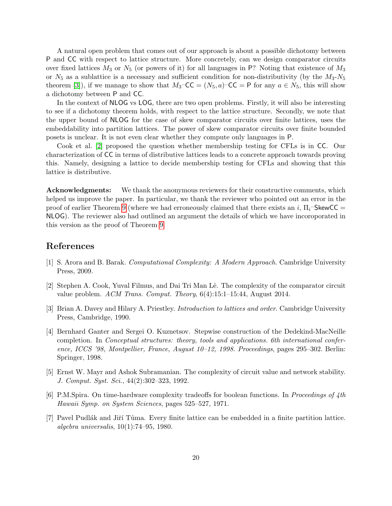A natural open problem that comes out of our approach is about a possible dichotomy between P and CC with respect to lattice structure. More concretely, can we design comparator circuits over fixed lattices  $M_3$  or  $N_5$  (or powers of it) for all languages in P? Noting that existence of  $M_3$ or  $N_5$  as a sublattice is a necessary and sufficient condition for non-distributivity (by the  $M_3-N_5$ theorem [\[3\]](#page-19-3)), if we manage to show that  $M_3$ <sup>-</sup>CC = ( $N_5$ , a)<sup>-</sup>CC = P for any  $a \in N_5$ , this will show a dichotomy between P and CC.

In the context of NLOG vs LOG, there are two open problems. Firstly, it will also be interesting to see if a dichotomy theorem holds, with respect to the lattice structure. Secondly, we note that the upper bound of NLOG for the case of skew comparator circuits over finite lattices, uses the embeddability into partition lattices. The power of skew comparator circuits over finite bounded posets is unclear. It is not even clear whether they compute only languages in P.

Cook et al. [\[2\]](#page-19-1) proposed the question whether membership testing for CFLs is in CC. Our characterization of CC in terms of distributive lattices leads to a concrete approach towards proving this. Namely, designing a lattice to decide membership testing for CFLs and showing that this lattice is distributive.

Acknowledgments: We thank the anonymous reviewers for their constructive comments, which helped us improve the paper. In particular, we thank the reviewer who pointed out an error in the proof of earlier Theorem [9](#page-16-0) (where we had erroneously claimed that there exists an  $i$ ,  $\Pi_i$ -SkewCC = NLOG). The reviewer also had outlined an argument the details of which we have incoroporated in this version as the proof of Theorem [9.](#page-16-0)

#### References

- <span id="page-19-4"></span>[1] S. Arora and B. Barak. Computational Complexity: A Modern Approach. Cambridge University Press, 2009.
- <span id="page-19-1"></span>[2] Stephen A. Cook, Yuval Filmus, and Dai Tri Man Lê. The complexity of the comparator circuit value problem. ACM Trans. Comput. Theory, 6(4):15:1–15:44, August 2014.
- <span id="page-19-3"></span>[3] Brian A. Davey and Hilary A. Priestley. Introduction to lattices and order. Cambridge University Press, Cambridge, 1990.
- <span id="page-19-6"></span>[4] Bernhard Ganter and Sergei O. Kuznetsov. Stepwise construction of the Dedekind-MacNeille completion. In Conceptual structures: theory, tools and applications. 6th international conference, ICCS '98, Montpellier, France, August  $10-12$ , 1998. Proceedings, pages 295–302. Berlin: Springer, 1998.
- <span id="page-19-0"></span>[5] Ernst W. Mayr and Ashok Subramanian. The complexity of circuit value and network stability. J. Comput. Syst. Sci., 44(2):302–323, 1992.
- <span id="page-19-2"></span>[6] P.M.Spira. On time-hardware complexity tradeoffs for boolean functions. In Proceedings of 4th Hawaii Symp. on System Sciences, pages 525–527, 1971.
- <span id="page-19-5"></span>[7] Pavel Pudlák and Jiří Tůma. Every finite lattice can be embedded in a finite partition lattice. algebra universalis, 10(1):74–95, 1980.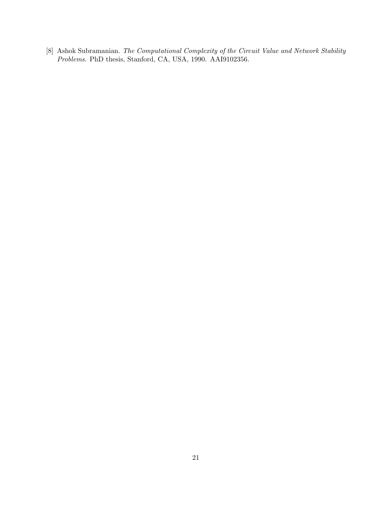<span id="page-20-0"></span>[8] Ashok Subramanian. The Computational Complexity of the Circuit Value and Network Stability Problems. PhD thesis, Stanford, CA, USA, 1990. AAI9102356.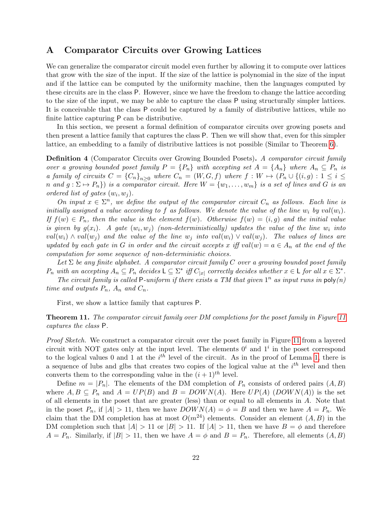# <span id="page-21-0"></span>A Comparator Circuits over Growing Lattices

We can generalize the comparator circuit model even further by allowing it to compute over lattices that grow with the size of the input. If the size of the lattice is polynomial in the size of the input and if the lattice can be computed by the uniformity machine, then the languages computed by these circuits are in the class P. However, since we have the freedom to change the lattice according to the size of the input, we may be able to capture the class P using structurally simpler lattices. It is conceivable that the class P could be captured by a family of distributive lattices, while no finite lattice capturing P can be distributive.

In this section, we present a formal definition of comparator circuits over growing posets and then present a lattice family that captures the class P. Then we will show that, even for this simpler lattice, an embedding to a family of distributive lattices is not possible (Similar to Theorem [6\)](#page-10-1).

Definition 4 (Comparator Circuits over Growing Bounded Posets). A comparator circuit family over a growing bounded poset family  $P = \{P_n\}$  with accepting set  $A = \{A_n\}$  where  $A_n \subseteq P_n$  is a family of circuits  $C = {C_n}_{n>0}$  where  $C_n = (W, G, f)$  where  $f : W \mapsto (P_n \cup \{(i, g): 1 \le i \le n\})$ n and  $g: \Sigma \mapsto P_n$ ) is a comparator circuit. Here  $W = \{w_1, \ldots, w_m\}$  is a set of lines and G is an ordered list of gates  $(w_i, w_j)$ .

On input  $x \in \Sigma^n$ , we define the output of the comparator circuit  $C_n$  as follows. Each line is initially assigned a value according to f as follows. We denote the value of the line  $w_i$  by  $val(w_i)$ . If  $f(w) \in P_n$ , then the value is the element  $f(w)$ . Otherwise  $f(w) = (i, g)$  and the initial value is given by  $g(x_i)$ . A gate  $(w_i, w_j)$  (non-deterministically) updates the value of the line  $w_i$  into  $val(w_i) \wedge val(w_j)$  and the value of the line  $w_j$  into  $val(w_i) \vee val(w_j)$ . The values of lines are updated by each gate in G in order and the circuit accepts x iff  $val(w) = a \in A_n$  at the end of the computation for some sequence of non-deterministic choices.

Let  $\Sigma$  be any finite alphabet. A comparator circuit family C over a growing bounded poset family  $P_n$  with an accepting  $A_n \subseteq P_n$  decides  $\mathsf{L} \subseteq \Sigma^*$  iff  $C_{|x|}$  correctly decides whether  $x \in \mathsf{L}$  for all  $x \in \Sigma^*$ .

The circuit family is called P-uniform if there exists a TM that given  $1^n$  as input runs in  $poly(n)$ time and outputs  $P_n$ ,  $A_n$  and  $C_n$ .

First, we show a lattice family that captures P.

Theorem 11. The comparator circuit family over DM completions for the poset family in Figure [11](#page-22-0) captures the class P.

Proof Sketch. We construct a comparator circuit over the poset family in Figure [11](#page-22-0) from a layered circuit with NOT gates only at the input level. The elements  $0^i$  and  $1^i$  in the poset correspond to the logical values 0 and 1 at the  $i<sup>th</sup>$  level of the circuit. As in the proof of Lemma [1,](#page-9-1) there is a sequence of lubs and glbs that creates two copies of the logical value at the  $i<sup>th</sup>$  level and then converts them to the corresponding value in the  $(i+1)$ <sup>th</sup> level.

Define  $m = |P_n|$ . The elements of the DM completion of  $P_n$  consists of ordered pairs  $(A, B)$ where  $A, B \subseteq P_n$  and  $A = UP(B)$  and  $B = DOWN(A)$ . Here  $UP(A)$  (DOWN(A)) is the set of all elements in the poset that are greater (less) than or equal to all elements in A. Note that in the poset  $P_n$ , if  $|A| > 11$ , then we have  $DOWN(A) = \phi = B$  and then we have  $A = P_n$ . We claim that the DM completion has at most  $O(m^{24})$  elements. Consider an element  $(A, B)$  in the DM completion such that  $|A| > 11$  or  $|B| > 11$ . If  $|A| > 11$ , then we have  $B = \phi$  and therefore  $A = P_n$ . Similarly, if  $|B| > 11$ , then we have  $A = \phi$  and  $B = P_n$ . Therefore, all elements  $(A, B)$